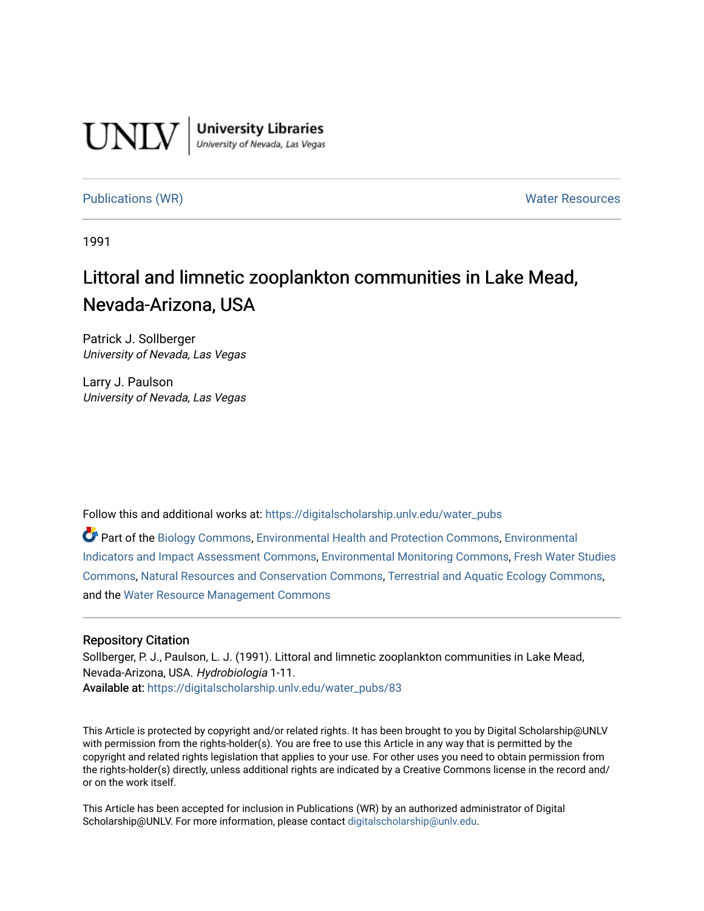

**University Libraries**<br>University of Nevada, Las Vegas

[Publications \(WR\)](https://digitalscholarship.unlv.edu/water_pubs) Notifiable Resources and Mater Resources and Mater Resources

1991

# Littoral and limnetic zooplankton communities in Lake Mead, Nevada-Arizona, USA

Patrick J. Sollberger University of Nevada, Las Vegas

Larry J. Paulson University of Nevada, Las Vegas

Follow this and additional works at: [https://digitalscholarship.unlv.edu/water\\_pubs](https://digitalscholarship.unlv.edu/water_pubs?utm_source=digitalscholarship.unlv.edu%2Fwater_pubs%2F83&utm_medium=PDF&utm_campaign=PDFCoverPages) 

Part of the [Biology Commons,](http://network.bepress.com/hgg/discipline/41?utm_source=digitalscholarship.unlv.edu%2Fwater_pubs%2F83&utm_medium=PDF&utm_campaign=PDFCoverPages) [Environmental Health and Protection Commons](http://network.bepress.com/hgg/discipline/172?utm_source=digitalscholarship.unlv.edu%2Fwater_pubs%2F83&utm_medium=PDF&utm_campaign=PDFCoverPages), [Environmental](http://network.bepress.com/hgg/discipline/1015?utm_source=digitalscholarship.unlv.edu%2Fwater_pubs%2F83&utm_medium=PDF&utm_campaign=PDFCoverPages)  [Indicators and Impact Assessment Commons](http://network.bepress.com/hgg/discipline/1015?utm_source=digitalscholarship.unlv.edu%2Fwater_pubs%2F83&utm_medium=PDF&utm_campaign=PDFCoverPages), [Environmental Monitoring Commons,](http://network.bepress.com/hgg/discipline/931?utm_source=digitalscholarship.unlv.edu%2Fwater_pubs%2F83&utm_medium=PDF&utm_campaign=PDFCoverPages) [Fresh Water Studies](http://network.bepress.com/hgg/discipline/189?utm_source=digitalscholarship.unlv.edu%2Fwater_pubs%2F83&utm_medium=PDF&utm_campaign=PDFCoverPages) [Commons](http://network.bepress.com/hgg/discipline/189?utm_source=digitalscholarship.unlv.edu%2Fwater_pubs%2F83&utm_medium=PDF&utm_campaign=PDFCoverPages), [Natural Resources and Conservation Commons](http://network.bepress.com/hgg/discipline/168?utm_source=digitalscholarship.unlv.edu%2Fwater_pubs%2F83&utm_medium=PDF&utm_campaign=PDFCoverPages), [Terrestrial and Aquatic Ecology Commons](http://network.bepress.com/hgg/discipline/20?utm_source=digitalscholarship.unlv.edu%2Fwater_pubs%2F83&utm_medium=PDF&utm_campaign=PDFCoverPages), and the [Water Resource Management Commons](http://network.bepress.com/hgg/discipline/1057?utm_source=digitalscholarship.unlv.edu%2Fwater_pubs%2F83&utm_medium=PDF&utm_campaign=PDFCoverPages) 

# Repository Citation

Sollberger, P. J., Paulson, L. J. (1991). Littoral and limnetic zooplankton communities in Lake Mead, Nevada-Arizona, USA. Hydrobiologia 1-11. Available at: [https://digitalscholarship.unlv.edu/water\\_pubs/83](https://digitalscholarship.unlv.edu/water_pubs/83) 

This Article is protected by copyright and/or related rights. It has been brought to you by Digital Scholarship@UNLV with permission from the rights-holder(s). You are free to use this Article in any way that is permitted by the copyright and related rights legislation that applies to your use. For other uses you need to obtain permission from the rights-holder(s) directly, unless additional rights are indicated by a Creative Commons license in the record and/ or on the work itself.

This Article has been accepted for inclusion in Publications (WR) by an authorized administrator of Digital Scholarship@UNLV. For more information, please contact [digitalscholarship@unlv.edu.](mailto:digitalscholarship@unlv.edu)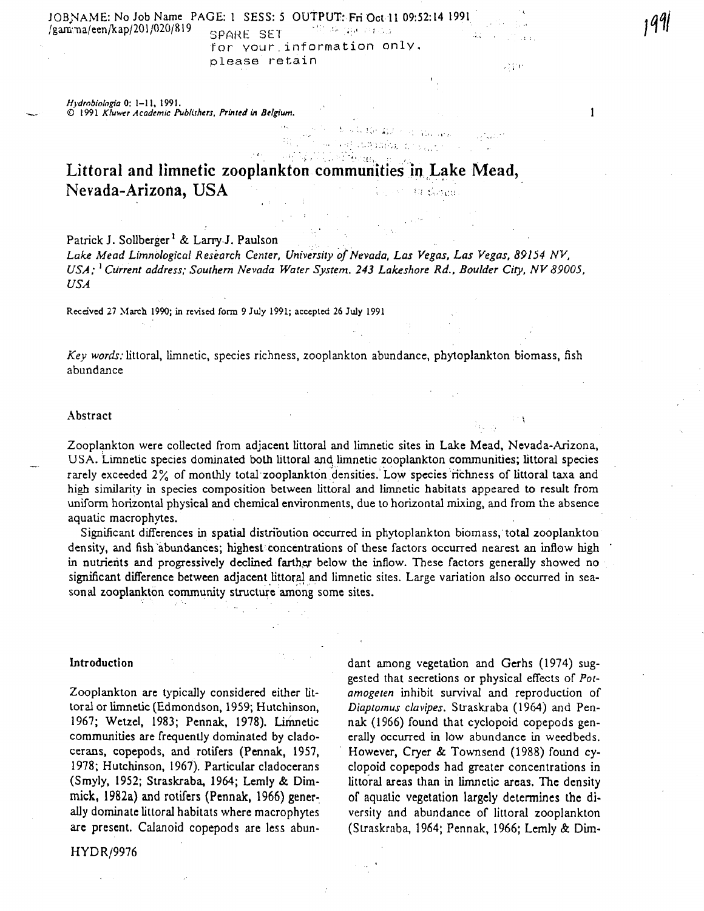JOB;NAME: No Job Name PAGE: 1 SESS: 5 OUTPUT: Fri Oct 11 09:52:14 1991 /gannia/een/kap/201/020/819 SPARESE <sup>T</sup> *''•'•••'.;•.,<.•>•,..;* for vour,information only, please retain

2370

1991

 $\mathbf{1}$ 

*Hydmbiolagia* 0: 1-11, 1991. © 1991 *Kluwer Academic Publishers. Printed in Belgium.*

> $\mathcal{L}(\mathcal{L}^{\mathcal{L}})$  , and the set of  $\mathcal{L}^{\mathcal{L}}$ in seri

Littoral and limnetic zooplankton communities in Lake Mead, Nevada-Arizona, USA 30 iliyo qa

# Patrick J. Sollberger<sup>1</sup> & Larry J. Paulson

*Lake Mead Limnological Research Center, University of Nevada, Las Vegas, Las Vegas, 89154 NV, USA;* ' *Current address; Southern Nevada Water System. 243 Lakeshore Rd., Boulder City, NV89005, USA*

Received 27 March 1990; in revised form 9 July 1991; accepted 26 July 1991

*Key words:* littoral, limnetic, species richness, zooplankton abundance, phyloplankton biomass, fish abundance

### Abstract >

Zooplankton were collected from adjacent littoral and limnetic sites in Lake Mead, Nevada-Arizona, USA. Limnetic species dominated both littoral and limnetic zooplankton communities; littoral species rarely exceeded 2% of monthly total zooplankton densities. Low species richness of littoral taxa and high similarity in species composition between littoral and limnetic habitats appeared to result from uniform horizontal physical and chemical environments, due to horizontal mixing, and from the absence aquatic macrophytes. .

Significant differences in spatial distribution occurred in phytoplankton biomass, total zooplankton density, and fish abundances; highest concentrations of these factors occurred nearest an inflow high in nutrients and progressively declined farther below the inflow. These factors generally showed no significant difference between adjacent littoral and limnetic sites. Large variation also occurred in sea sonal zooplankton community structure among some sites.

# Introduction

Zooplankton are typically considered either lit toral or limnetic (Edmondson, 1959; Hutchinson, 1967; Wetzel, 1983; Pennak, 1978). Limnetic communities are frequently dominated by clado cerans, copepods, and rotifers (Pennak, 1957, 1978; Hutchinson, 1967). Particular cladocerans (Smyly, 1952; Straskraba, 1964; Lemly & Dim mick, 1982a) and rotifers (Pennak, 1966) gener ally dominate littoral habitats where macrophytes arc present. Calanoid copepods are less abun-

HYDR/9976

dant among vegetation and Gerhs (1974) sug gested that secretions or physical effects of *Potamogeten* inhibit survival and reproduction of *Diaptomus clavipes.* Slraskraba (1964) and Pen nak (1966) found that cyclopoid copepods gen erally occurred in low abundance in weedbeds. However, Cryer & Townsend (1988) found cy clopoid copepods had greater concentrations in littoraJ areas than in limnetic areas. The density of aquatic vegetation largely determines the di versity and abundance of littoral zooplankton (Straskraba, 1964; Pennak, 1966; Lemly & Dim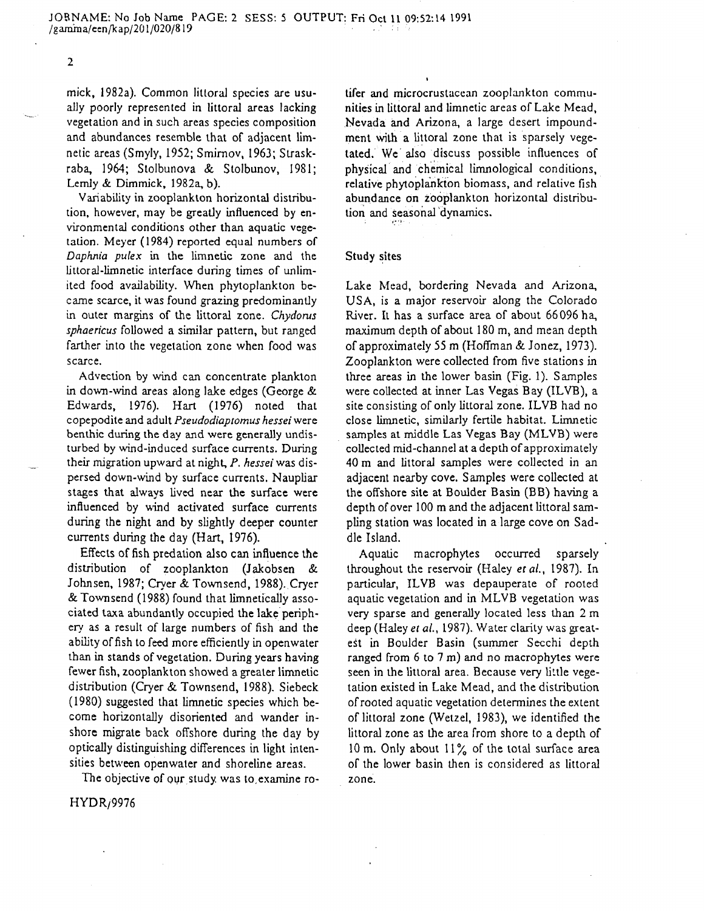$\mathbf{2}$ 

mick, 1982a). Common littoral species are usu ally poorly represented in littoral areas lacking vegetation and in such areas species composition and abundances resemble that of adjacent lim netic areas (Smyly, 1952; Smirnov, 1963; Strask raba, 1964; Stolbunova & Stolbunov, 1981; Lemly & Dimmick, 1982a, b).

Variability in zooplanklon horizontal distribu tion, however, may be greatly influenced by en vironmental conditions other than aquatic vege tation. Meyer (1984) reported equal numbers of *Daphnia pulex* in the limnetic zone and the littoral-limnetic interface during times of unlim ited food availability. When phytoplankton be came scarce, it was found grazing predominantly in outer margins of the littoral zone. *Chydonts sphaericus* followed a similar pattern, but ranged farther into the vegetation zone when food was scarce.

Advection by wind can concentrate plankton in down-wind areas along lake edges (George & Edwards, 1976). Hart (1976) noted that copepodite and adult *Pseudodiaptomus hessei* were benthic during the day and were generally undis turbed by wind-induced surface currents. During their migration upward at night, *P. hessei* was dis persed down-wind by surface currents. Naupliar stages that always lived near the surface were influenced by wind activated surface currents during the night and by slightly deeper counter currents during the day (Hart, 1976).

Effects of fish predation also can influence the distribution of zooplankton (Jakobsen & Johnsen, 1987; Cryer & Townsend, 1988). Cryer &Townsend (1988) found that limnetically asso ciated taxa abundantly occupied the lake periph ery as a result of large numbers of fish and the ability of fish to feed more efficiently in openwater than in stands of vegetation. During years having fewer fish, zooplankton showed a greater limnetic distribution (Cryer & Townsend, 1988). Siebeck (1980) suggested that limnetic species which be come horizontally disoriented and wander in shore migrate back offshore during the day by optically distinguishing differences in light inten sities between openwater and shoreline areas.

HYDR/9976

k, 1923.). Common literation geodes are uses the and microcontistenas zoothalation communications and such that a boundaries are used as the standard and such a denoted a standard and such a denoted and such a standard an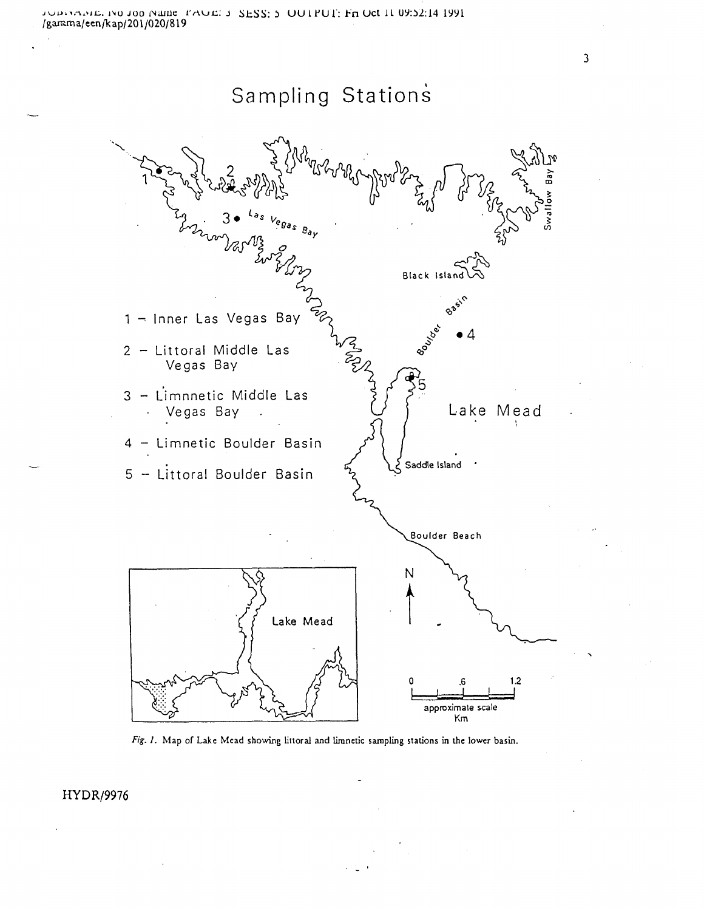Sampling Stations

**Black Isl** 1 - Inner Las Vegas Bay Littoral Middle Las Vegas Bay 3 - Limnnetic Middle Las Vegas Bay  $\cup$   $\cup$   $\cup$  Lake Mead 4 - Limnetic Boulder Basin Saddle Island 5 - Littoral Boulder Basin Boulder Beach Ν Lake Mead  $1.2$ approximate scale

*Fig. I.* Map of Lake Mead showing littoral and limnetic sampling stations in the lower basin.

Km

HYDR/9976

 $\overline{\mathbf{3}}$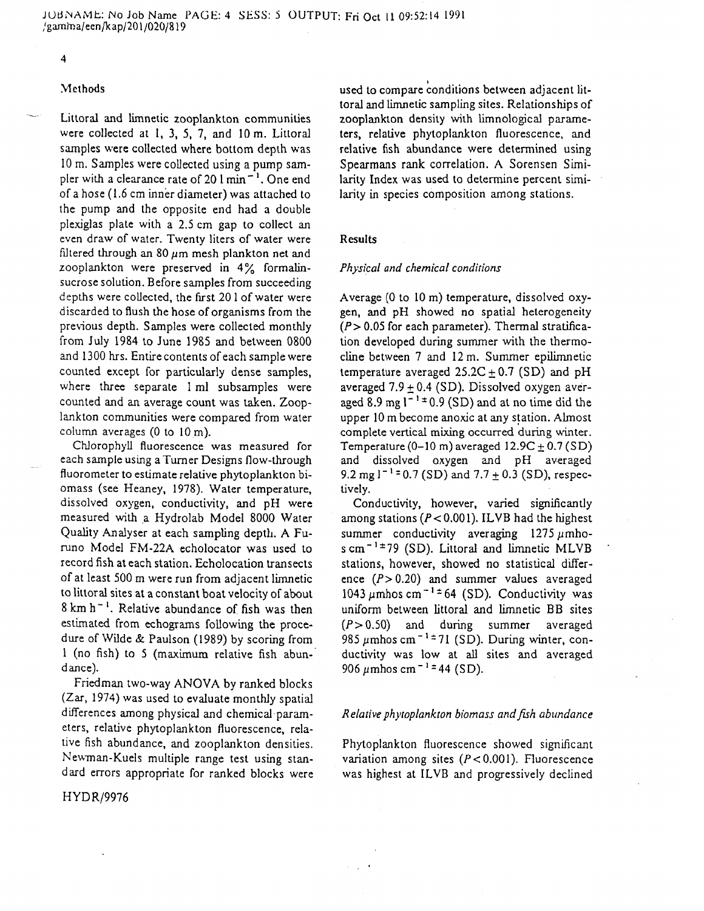#### $\overline{\mathbf{4}}$

# **Methods**

Littoral and limnetic zooplankton communities were collected at 1, 3, 5, 7, and 10m. Littoral samples were collected where bottom depth was 10 m. Samples were collected using a pump sam pler with a clearance rate of 20  $1 \text{ min}^{-1}$ . One end of a hose (1.6 cm inner diameter) was attached to the pump and the opposite end had a double plexiglas plate with a 2.5 cm gap to collect an even draw of water. Twenty liters of water were filtered through an 80  $\mu$ m mesh plankton net and zooplankton were preserved in 4% formalin sucrose solution. Before samples from succeeding depths were collected, the first 20 1 of water were discarded to flush the hose of organisms from the previous depth. Samples were collected monthly from July 1984 to June 1985 and between 0800 and 1300 hrs. Entire contents of each sample were counted except for particularly dense samples, where three separate 1 ml subsamples were counted and an average count was taken. Zoop lankton communities were compared from water column averages (0 to 10m).

Chlorophyll fluorescence was measured for each sample using a Turner Designs flow-through fluorometer to estimate relative phytoplankton bi omass (see Heaney, 1978). Water temperature, dissolved oxygen, conductivity, and pH were measured with a Hydrolab Model 8000 Water Quality Analyser at each sampling depth. A Fu runo Model FM-22A echolocator was used to record fish at each station. Echolocation transects of at least 500 m were run from adjacent limnetic to littoral sites at a constant boat velocity of about 8 km h~ '. Relative abundance of fish was then estimated from echograms following the proce dure of Wilde & Paulson (1989) by scoring from 1 (no fish) to 5 (maximum relative fish abun dance).

Friedman two-way ANOVA by ranked blocks (Zar, 1974) was used to evaluate monthly spatial differences among physical and chemical param eters, relative phytoplankton fluorescence, rela tive fish abundance, and zooplankton densities. Newman-Kuels multiple range test using stan dard errors appropriate for ranked blocks were

HYDR/9976

used to compare conditions between adjacent lit toral and limnetic sampling sites. Relationships of zooplankton density with limnological parame ters, relative phytoplankton fluorescence, and relative fish abundance were determined using Spearmans rank correlation. A Sorensen Simi larity Index was used to determine percent simi larity in species composition among stations.

# Results

# *Physical and chemical conditions*

Average (0 to 10 m) temperature, dissolved oxy gen, and pH showed no spatial heterogeneity *(P>* 0.05 for each parameter). Thermal stratifica tion developed during summer with the thermo cline between 7 and 12m. Summer epilimnetic temperature averaged  $25.2C \pm 0.7$  (SD) and pH averaged  $7.9 + 0.4$  (SD). Dissolved oxygen averaged 8.9 mg  $1^{-1}$  ± 0.9 (SD) and at no time did the upper 10 m become anoxic at any station. Almost complete vertical mixing occurred during winter. Temperature (0-10 m) averaged 12.9C *±* 0.7 (SD) and dissolved oxygen and pH averaged 9.2 mg  $1^{-1}$  = 0.7 (SD) and 7.7  $\pm$  0.3 (SD), respectively.

Conductivity, however, varied significantly among stations ( $P < 0.001$ ). ILVB had the highest summer conductivity averaging  $1275 \mu m$ hos cm<sup> $-1\pm$ </sup>79 (SD). Littoral and limnetic MLVB stations, however, showed no statistical differ ence  $(P > 0.20)$  and summer values averaged 1043  $\mu$ mhos cm<sup>-1±</sup> 64 (SD). Conductivity was uniform between littoral and limnetic BB sites  $(P>0.50)$  and during summer averaged 985  $\mu$ mhos cm<sup>-1±</sup>71 (SD). During winter, conductivity was low at all sites and averaged 906  $\mu$ mhos cm<sup>-1</sup> = 44 (SD).

# *Relative phytoplankton biomass and fish abundance*

Phytoplankton fluorescence showed significant variation among sites *(P<* 0.001). Fluorescence was highest at ILVB and progressively declined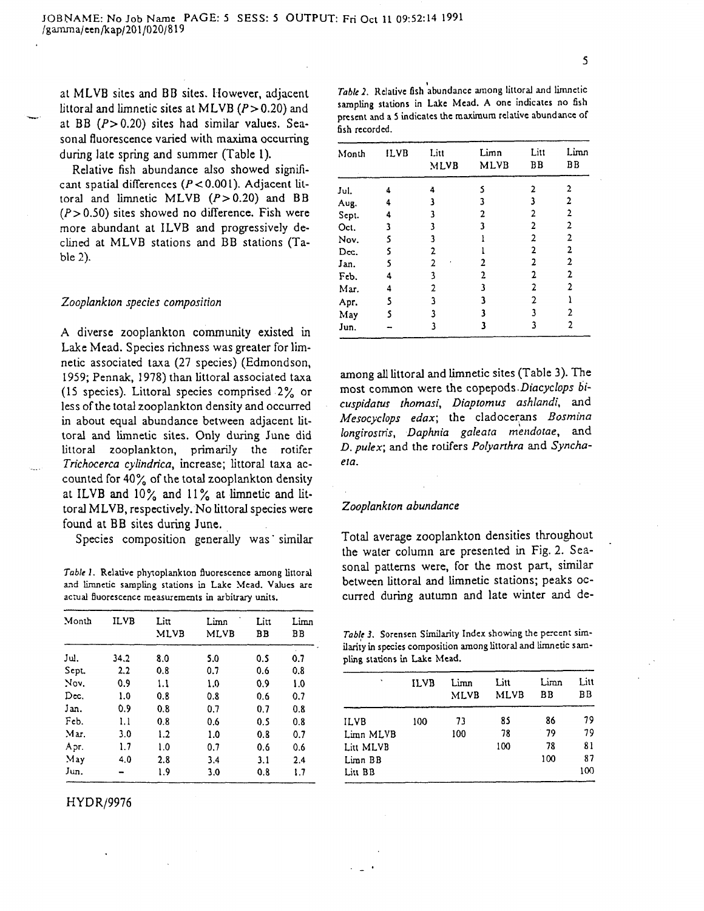at MLVB sites and BB sites. However, adjacent littoral and limnetic sites at MLVB ( $P > 0.20$ ) and at BB  $(P>0.20)$  sites had similar values. Seasonal fluorescence varied with maxima occurring during late spring and summer (Table 1).

Relative fish abundance also showed signifi cant spatial differences *(P<* 0.001). Adjacent lit toral and limnetic MLVB  $(P>0.20)$  and BB  $(P>0.50)$  sites showed no difference. Fish were more abundant at ILVB and progressively de clined at MLVB stations and BB stations (Ta ble 2).

# *Zooplankton species composition*

*A* diverse zooplankton community existed in Lake Mead. Species richness was greater for lim netic associated taxa (27 species) (Edmondson, 1959; Pennak, 1978) than littoral associated taxa (15 species). Littoral species comprised 2% or less of the total zooplankton density and occurred in about equal abundance between adjacent lit toral and limnetic sites. Only during June did littoral zooplankton, primarily the rotifer *Trichocerca cylindrica,* increase; littoral taxa ac counted for 40% of the total zooplankton density at ILVB and  $10\%$  and  $11\%$  at limnetic and littoral MLVB, respectively. No littoral species were found at BB sites during June.

Species composition generally was similar

*Table 1.* Relative phytoplankton fluorescence among littoral and limnetic sampling stations ia Lake Mead. Values are actual fluorescence measurements in arbitrary units.

| Month  | ILVB | Litt<br><b>MLVB</b> | Limn<br><b>MLVB</b> | Litt<br>ВB | Limn<br>BВ |
|--------|------|---------------------|---------------------|------------|------------|
| Jul.   | 34.2 | 8.0                 | 5.0                 | 0.5        | 0.7        |
| Sept.  | 2.2  | 0.8                 | 0.7                 | 0.6        | 0.8        |
| Nov.   | 0.9  | 1.1                 | 1.0                 | 0.9        | 1.0        |
| Dec.   | 1.0  | 0.8                 | 0.8                 | 0.6        | 0.7        |
| Jan.   | 0.9  | 0.8                 | 0.7                 | 0.7        | 0.8        |
| Feb.   | 1.1  | 0.8                 | 0.6                 | 0.5        | 0.8        |
| Mar.   | 3.0  | 1.2                 | 1.0                 | 0.8        | 0.7        |
| Apr.   | 1.7  | 1.0                 | 0.7                 | 0.6        | 0.6        |
| $M$ ay | 4.0  | 2.8                 | 3.4                 | 3.1        | 2.4        |
| Jun.   |      | 1.9                 | 3.0                 | 0.8        | 1.7        |

# HYDR/9976

| Table 2. Relative fish abundance among littoral and limnetic |
|--------------------------------------------------------------|
| sampling stations in Lake Mead. A one indicates no fish      |
| present and a 5 indicates the maximum relative abundance of  |
| fish recorded.                                               |

| Month | <b>ILVB</b> | Litt<br><b>MLVB</b> | Limn<br>MLVB | Litt<br>B <sub>B</sub> | Limn<br>ВB     |
|-------|-------------|---------------------|--------------|------------------------|----------------|
| Jul.  | 4           | 4                   | 5            | 2                      | 2              |
| Aug.  | 4           | 3                   | 3            |                        | 2              |
| Sept. | 4           | 3                   | 2            | 2                      | $\overline{2}$ |
| Oct.  | ٦           | 3                   | ٦            | $\mathbf{c}$           | 2              |
| Nov.  | S           | 3                   |              | 2                      | 2              |
| Dec.  | s           | 2                   |              | $\overline{2}$         | $\overline{2}$ |
| Jan.  | 5           | 2                   | 2            | 2                      | 2              |
| Feb.  | 4           | 3                   | 2            | 2                      | 2              |
| Mar.  | 4           | 2                   | 3            | 2                      | 2              |
| Apr.  | 5           | 3                   | 3            | 2                      |                |
| May   | s           | ٦                   |              |                        | 2              |
| Jun.  |             | 3                   | 3            | 3                      | 2              |

among all littoral and limnetic sites (Table 3). The most common were the copepods *Diacyclops bicuspidatus thomasi, Diaptomus ashlandi,* and *Mesocyclops edax;* the cladocerans *Bosmina longirostris, Daphnia galeata mendotae,* and *D. pulex;* and the rotifers *Polyanhra* and *Synchaela.*

### *Zooplankton abundance*

Total average zooplankton densities throughout the water column are presented in Fig. 2. Sea sonal patterns were, for the most part, similar between littoral and limnetic stations; peaks oc curred during autumn and late winter and de-

*Table 3.* Sorcnscn Similarity Index showing the percent sim ilarity in species composition among littoral and limnetic sam pling stations in Lake Mead.

| ٠           | ILVB | Limn<br><b>MLVB</b> | Litt<br><b>MLVB</b> | Limn<br>ВB | Litt<br>BВ |
|-------------|------|---------------------|---------------------|------------|------------|
| <b>ILVB</b> | 100  | 73                  | 85                  | 86         | 79         |
| Limn MLVB   |      | 100                 | 78                  | 79         | 79         |
| Litt MLVB   |      |                     | 100                 | 78         | 81         |
| Limn BB     |      |                     |                     | 100        | 87         |
| Liu BB      |      |                     |                     |            | 100        |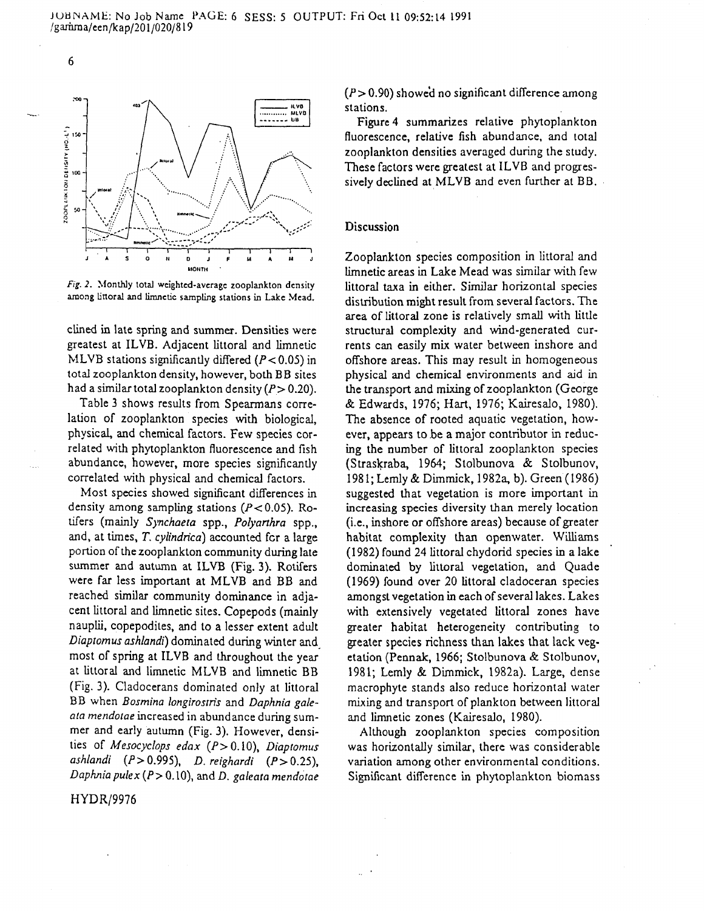

6

*Fig. 2.* Monthly lota] weighted-average zooplankton density among littoral and limnetic sampling stations in Lake Mead.

clined in late spring and summer. Densities were greatest at ILVB. Adjacent littoral and limnetic MLVB stations significantly differed  $(P<0.05)$  in total zooplankton density, however, both BB sites had a similar total zooplankton density (P > 0.20).

Table 3 shows results from Spearmans corre lation of zooplankton species with biological, physical, and chemical factors. Few species cor related with phytoplankton fluorescence and fish abundance, however, more species significantly correlated with physical and chemical factors.

Most species showed significant differences in density among sampling stations ( $P < 0.05$ ). Rotifers (mainly *Synchaeta* spp., *Polyanhra* spp., and, at times, *T. cylindrica)* accounted for a large portion of the zooplankton community during late summer and autumn at ILVB (Fig. 3). Rotifers were far less important at MLVB and BB and reached similar community dominance in adja cent littoral and limnetic sites. Copepods (mainly nauplii, copepodites, and to a lesser extent adult *Diaptomus ashlandf)* dominated during winter and most of spring at ILVB and throughout the year at littoral and limnetic MLVB and limnetic BB (Fig. 3). Cladocerans dominated only at littoral BB when *Bosmina longirostris* and *Daphnia galeata mendotae* increased in abundance during sum mer and early autumn (Fig. 3). However, densi ties of *Mesocyclops edax* (P > 0.10), *Diaptomus ashlandi (P>* 0.995), *D. reighardi (P>0.25), Daphnia pulex(P>Q.\Q),* and D. *galeata mendotae*

*(P>* 0.90) showed no significant difference among stations.

Figure 4 summarizes relative phytoplankton fluorescence, relative fish abundance, and total zooplankton densities averaged during the study. These factors were greatest at ILVB and progres sively declined at MLVB and even further at BB.

# Discussion

Zooplankton species composition in littoral and limnetic areas in Lake Mead was similar with few littoral taxa in either. Similar horizontal species distribution might result from several factors. The area of littoral zone is relatively small with little structural complexity and wind-generated cur rents can easily mix water between inshore and offshore areas. This may result in homogeneous physical and chemical environments and aid in the transport and mixing of zooplankton (George & Edwards, 1976; Hart, 1976; Kairesalo, 1980). The absence of rooted aquatic vegetation, how ever, appears to be a major contributor in reducing the number of littoral zooplankton species (Straskraba, 1964; Stolbunova & Stolbunov, 1981; Lemly & Dimmick, 1982a, b). Green (1986) suggested that vegetation is more important in increasing species diversity than merely location (i.e., inshore or offshore areas) because of greater habitat complexity than openwater. Williams (1982) found 24 littoral chydorid species in a lake dominated by littoral vegetation, and Quade (1969) found over 20 littoral cladoceran species amongst vegetation in each of several lakes. Lakes with extensively vegetated littoral zones have greater habitat heterogeneity contributing to greater species richness than lakes that lack veg etation (Pennak, 1966; Stolbunova & Stolbunov, 1981; Lemly & Dimmick, 1982a). Large, dense macrophyte stands also reduce horizontal water mixing and transport of plankton between littoral and limnetic zones (Kairesalo, 1980).

Although zooplankton species composition was horizontally similar, there was considerable variation among other environmental conditions. Significant difference in phytoplankton biomass

HYDR/9976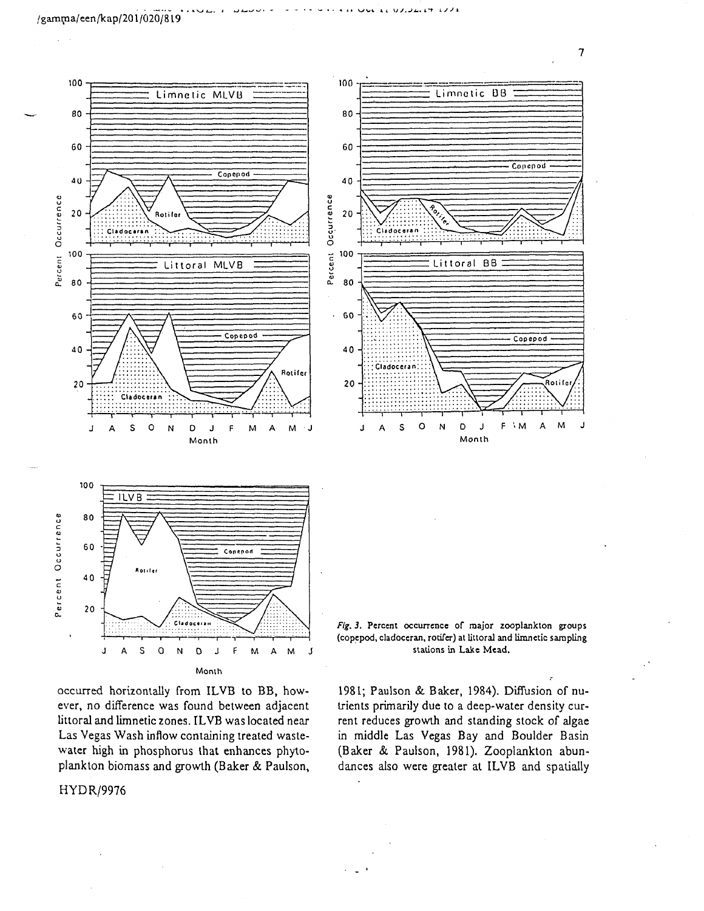



water high is<br>plankton bio<br>xxxmmm  $\frac{v}{2}$ Las Vegas Wash inflow containing treated was<br>water high in phosphorus that enhances ph \* Las Vega<br>water hig<br>plankton<br>HYDR/9 as Wash inflow containing<br>gh in phosphorus that en<br>1 biomass and growth (Ba (Baker & littoral and limnetic zones. ILVB was located ever, no difference was found between adjacer<br>littoral and limnetic zones. II VB was located near red horizontally from ILVB to BB, ho reated waste<br>ances phyte<br>er & Paulsor

# $HYP$  /9976



(Baker & Paulson, 1981). Zooplankton<br>dances also were greater at ILVB and sp (Baker & Paulson, 1981). Zoopla<br>dances also were greater at ILVB middle Las Vegas Bay and trients print<br>rent reduc<br>in middle 1981; Paulson & Baker, 1984). E<br>trients primarily due to a deep-wa<br>rent reduces growth and standing ci **C O** Ison & Baker, 1984). Diffusion of numarily due to a deep-water density cur-<br>es growth and standing stock of algae<br>Las Vegas Bay and Boulder Basir trients primarily due to a deep-water density cur-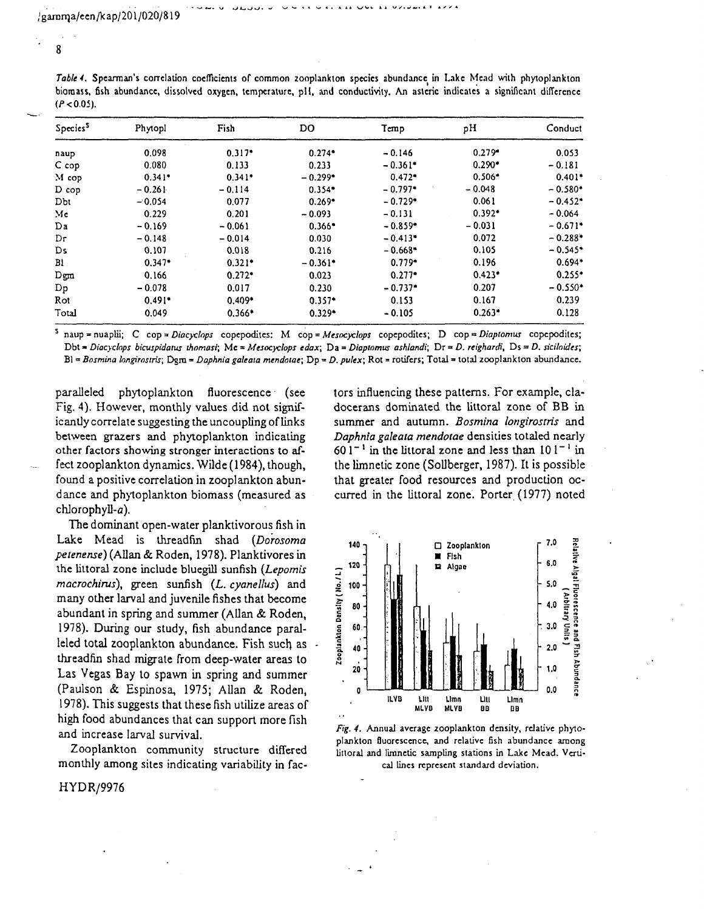0.341\*  $-0.114$ 0.077 0.201  $-0.061$  $-0.014$ 0.018 0.321\* 0.272\* 0.017 0.409\* 0.366\*

 $-0.261$  $-0.054$ 0.229  $-0.169$  $-0.148$ 0.107 0.347\* 0.166  $-0.078$ 0.491\* 0.049

8

M cop D cop Dbt Me Da Dr Ds Bl Dgra Dp Rot Total

| $(P < 0.05)$ .       | biomass, fish abundance, dissolved oxygen, temperature, pH, and conductivity. An asteric indicates a significant difference |          |           |                       |                      |          |
|----------------------|-----------------------------------------------------------------------------------------------------------------------------|----------|-----------|-----------------------|----------------------|----------|
| Species <sup>5</sup> | Phytopl                                                                                                                     | Fish     | DO        | Temp                  | pН                   | Conduct  |
| naup                 | 0.098                                                                                                                       | $0.317*$ | $0.274*$  | $-0.146$              | $0.279$ <sup>*</sup> | 0.053    |
| C cop                | 0.080                                                                                                                       | 0.133    | 0.233     | $-0.361$ <sup>*</sup> | $0.290*$             | $-0.181$ |
| M cop                | $0.341*$                                                                                                                    | $0.341*$ | $-0.299*$ | $0.472*$              | $0.506*$             | $0.401*$ |

 $- 0.299*$ 0.354\* 0.269\*  $-0.093$ 0.366\* 0.030 0.216  $-0.361*$ 0.023 0.230 0.357\* 0.329\*

 $- 0.797*$  $- 0.729*$ -0.131  $-0.859*$  $-0.413*$  $-0.668*$ 0.779\* 0.277\*  $-0.737*$ 0.153  $-0.105$ 

Table 4. Spearman's correlation coefficients of common zooplankton species abundance in Lake Mead with phytoplankton

| naup = nuaplii; C cop = <i>Diacyclops</i> copepodites: M cop = Mesocyclops copepodites; D cop = Diaptomus copepodites;         |  |
|--------------------------------------------------------------------------------------------------------------------------------|--|
| Dbt = Diacyclops bicuspidatus thomasi; Mc = Mesocyclops edax; Da = Diaptomus ashlandi; Dr = D. reighardi, Ds = D. siciloides;  |  |
| $B = Bosmina long resist; Dgm = Daphnia galeaia mendotae; Dp = D. pulse; Rot = rotifers; Total = total zooplankton abundance.$ |  |

paralleled phytoplankton fluorescence (see Fig. 4). However, monthly values did not signif icantly correlate suggesting the uncoupling of links between grazers and phytoplankton indicating other factors showing stronger interactions to af fect zooplankton dynamics. Wilde (1984), though, found a positive correlation in zooplankton abun dance and phytoplankton biomass (measured as chlorophyll-a).

The dominant open-water planktivorous fish in Lake Mead is threadfin shad *(Dorosoma petenense)* (Allan & Roden, 1978). Planktivores in the littoral zone include bluegill sunfish *(Lepomis macrochirus),* green sunfish *(L. cyanellus)* and many other larval and juvenile fishes that become abundant in spring and summer (Allan & Roden, 1978). During our study, fish abundance paral leled total zooplankton abundance. Fish such, as threadfin shad migrate from deep-water areas to Las Vegas Bay to spawn in spring and summer (Paulson & Espinosa, 1975; Allan & Roden, 1978). This suggests that these fish utilize areas of high food abundances that can support more fish and increase larval survival.

Zooplankton community structure differed monthly among sites indicating variability in fac-

HYDR/9976

tors influencing these patterns. For example, cla docerans dominated the littoral zone of BB in summer and autumn. *Bosmina longirostris* and *Daphnia galeaia mendotae* densities totaled nearly  $601<sup>-1</sup>$  in the littoral zone and less than  $101<sup>-1</sup>$  in the limnetic zone (Sollberger, 1987). It is possible that greater food resources and production oc curred in the Littoral zone. Porter (1977) noted

 $-0.048$ 0.061 0.392\*  $-0.031$ 0.072 0.105 0.196 0.423\* 0.207 0.167 0.263\*  $-0.580*$  $-0.452*$  $- 0.064$  $-0.671*$  $-0.288*$  $-0.545*$ 0.694\* 0.255\*  $-0.550*$ 0.239 0.128



*Fig. 4.* Annual average zooplankton density, relative phyto plankton fluorescence, and relative fish abundance among littoral and limnetic sampling stations in Lake Mead. Verti cal lines represent standard deviation.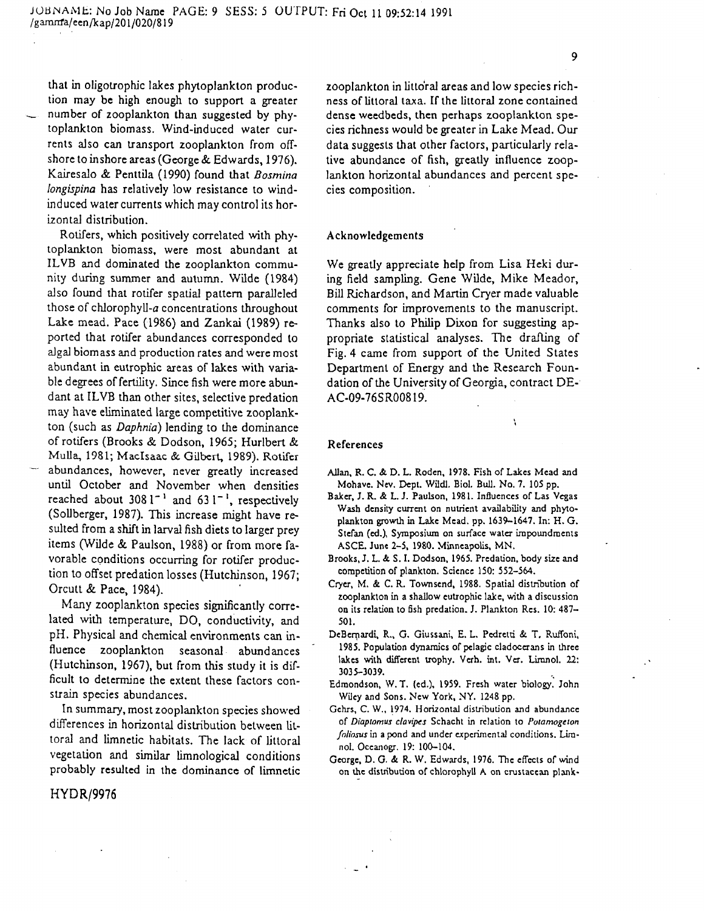that i n oligotrophic lakes phytoplankto n produc tion may be high enough to support a greater number of zooplankton than suggested by phytoplankto n biomass. Wind-induce d water cur rents als o ca n transport zooplankto n fro m off shore t o inshore areas (George & Edwards, 1976). Kairesal o & Penttila (1990) foun d that *Bosmina* longispina has relatively low resistance to windinduce d water currents whic h ma y control its hor izontal distribution.

Rotifers, whic h positivel y correlate d wit h phy toplankto n biomass, were most abundant at ILV B an d dominate d the zooplankto n commu nit y durin g summer an d autumn. Wilde (1984) als o foun d that rotifer spatial patter n parallele d those of chlorophyll- $a$  concentrations throughout Lake mead. Pace (1986) an d Zankai (1989) re porte d that rotifer abundances corresponde d t o algal biomass an d productio n rates an d were most abundant i n eutrophic areas of lakes wit h varia ble degrees of fertility. Since fis h were more abun dant at ILV B tha n other sites, selective predatio n ma y have eliminate d large competitive zooplank to n (suc h as *Daphnia)* lendin g t o the dominance of rotifers (Brooks & Dodson, 1965; Hurlbert & MuUa, 1981; Maclsaac & Gilbert, 1989). Rotifer abundances, however, never greatl y increase d until October an d November whe n densities reached about 3081<sup>-1</sup> and 631<sup>-1</sup>, respectively (Sollberger, 1987). This increase might have re sulte d fro m a shift i n larval fis h diets t o larger pre y items (Wilde & Paulson, 1988) or fro m more fa vorable conditions occurrin g for rotifer produc tio n t o offset predatio n losses (Hutchinson, 1967; Orcutt & Pace, 1984).

Man y zooplankto n species significantl y corre late d wit h temperature, DO, conductivity, an d pH. Physical an d chemical environments ca n in fluence zooplankto n seasonal abundances (Hutchinson, 1967), but fro m this stud y it is dif ficult t o determine the extent these factors con strai n species abundances.

In summary, most zooplankto n species showe d differences i n horizontal distributio n betwee n lit toral an d limnetic habitats. The lac k of littoral vegetatio n an d similar limnological conditions probabl y resulte d i n the dominance of limnetic

HYDR/9976

zooplankton in littoral areas and low species richness of littoral taxa. If the littoral zone containe d dense weedbeds, the n perhaps zooplankto n spe cies richness woul d be greater i n Lake Mead. Our data suggests that other factors, particularl y rela tive abundance of fish, greatl y influence zoop lankto n horizontal abundances an d percent spe cies composition.

# Acknowledgements

We greatl y appreciate hel p fro m Lisa Heki dur in g fiel d sampling. Gene Wilde, Mike Meador, Bill Richardson, an d Marti n Cryer made valuable comments for improvements t o the manuscript. Thanks als o t o Phili p Dixo n for suggestin g ap propriate statistical analyses. The draftin g of Fig. 4 came fro m support of the Unite d States Department of Energ y an d the Researc h Foun datio n of the Universit y of Georgia, contract DE- AC-09-76SR00819.

# References

Allan, R. C. *&* D. L. Roden, 1978. Fish of Lakes Mead and Mohavc. Nev. Dept. Wildl. Biol. Bull. No. 7. 105 pp.

¥

- Baker, J. R. & L. J. Paulson, 1981. Influences of Las Vegas Wash density current on nutrient availability and phyto plankton growth in Lake Mead. pp. 1639-1647. In: H. G. Stefan (ed.), Symposiu m on surface water impoundments ASCE. June 2-5, 1980. Minneapolis, MN.
- Brooks, J. L. & S. I. Dodson, 1965. Predation, body size and competition of plankton. Science 150: 552-564.
- Cryer, M. & C. R. Townsend, 1988. Spatial distribution of zooplankton in a shallo w eutiophic lake, with a discussion on its relation to fish predation. J. Plankton Res. 10: 487- 501.
- DeBcrnardi, R., G. Giussani, E. L. Pcdrctti & T. Ruffoni, 1985. Population dynamics of pelagic cladocerans in three lakes with different trophy. Verh. int. Ver. Limnol. 22: 3035-3039.
- Edmondson, W. T. (ed.), 1959. Fresh water biology. John Wiley and Sons. Ne w York, NY. 1248 pp.
- Gehrs, C. W., 1974. Horizontal distribution and abundance of *Diapiomus clavipes* Schacht in relation to *Poiamogiton foliosus* in a pond and under experimental conditions. Limnol. Occanogr. 19: 100-104.
- George, D. G. & R. W. Edwards, 1976. The effects of wind on the distribution of chlorophyll A on crustacean plank-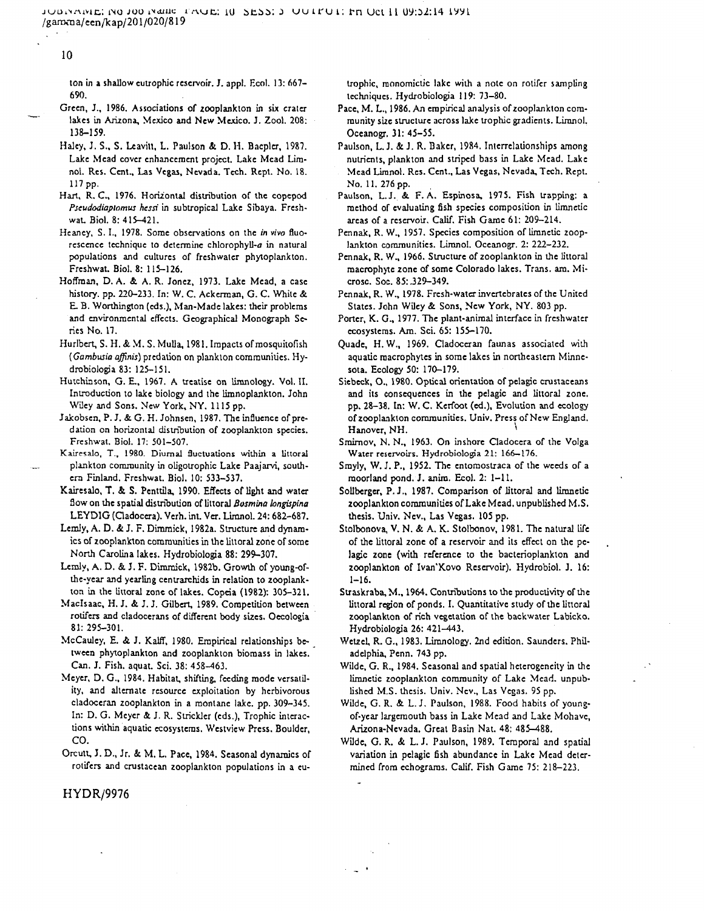10

ton in a shallow eutrophic reservoir. J. appl. Ecol. 13: 667- 690.

- Green, J., 1986. Associations of zooplankton in six crater lakes in Arizona, Mexico and New Mexico. J. Zool. 208: 138-159.
- Haley, J. S., S. Leavitt, L. Paulson & D. H. Bacpler, 1987. Lake Mead cover enhancement project. Lake Mead Limnol. Res. Cent., Las Vegas, Nevada. Tech. Rept. No. 18. 117pp.
- Hart, R. C., 1976. Horizontal distribution of the copcpod *Pseudodiaplomta hessi* in subtropical Lake Sibaya. Fresh wat. Biol. 8:415-421.
- Heaney, S. I., 1978. Some observations on the *in vivo* fluo rescence technique to determine chlorophyll-a in natural populations and cultures of freshwater phytoplankton. Freshwat. Biol. 8: 115-126.
- Hoffman, D. A. & A. R. Jonez, 1973. Lake Mead, a case history, pp. 220-233. In: W. C. Ackerraan, G. C. White & E. B. Wonhington (eds.), Man-Made lakes: their problems and environmental effects. Geographical Monograph Se ries No. 17.
- Hurlbert, S. H. & M. S. Mulla, 1981. Impacts of mosquitofish (Gambusia affinis) predation on plankton communities. Hydrobiologia 83: 125-151.
- Hutchinson, G. E., 1967. A treatise on limnology. Vol. II. Introduction to lake biology and the limnoplankton. John Wiley and Sons. New York, NY. 1115 pp.
- Jakobsen, P. J. & G. H. Johnsen, 1987. The influence of prc dation on horizontal distribution of zooplankton species. Freshwat. Biol. 17: 501-507.
- Kaircsalo, T., 1980. Diurnal fluctuations within a littoral plankton community in oligotrophic Lake Paajarvi, south ern Finland. Freshwat. Biol. 10: 533-537.
- Kairesalo, T. *&.* S. Penttila, 1990. Effects of light and water Sow on the spatial distribution of littoral *Bosmina longispina* LEYDIG (Cladocera). Verh. int. Ver. Limnol. 24: 682-687.
- Lemly, A. D. & J. F. Dirnmick, 1982a. Structure and dynam ics of zooplankton communities in the littoral zone of some North Carolina lakes. Hydrobiologia 88: 299-307.
- Lemly, A. D. & J. F. Dimmick, 1982b. Growth of young-of the-year and yearling ccntrarchids in relation to zooplank ton in the littoral zone of lakes. Copcia (1982): 305-321.
- Maclsaac, H. J. & J. J. Gilbert, 1989. Competition between rotifers and cladocerans of different body sizes. Oecologia 81: 295-301.
- McCaulcy, E. & J. Kalff, 1980. Empirical relationships be tween phytoplankton and zooplankton biomass in lakes. Can. J. Fish, aquat. Sci. 38: 458-463.
- Meyer, D. G., 1984. Habitat, shifting, feeding mode versatil ity, and alternate resource exploitation by herbivorous cladoceran zooplankton in a montane lake. pp. 309-345. In: D. G. Meyer & J. R. Strickler (eds.), Trophic interac tions within aquatic ecosystems. Westview Press. Boulder, CO. on an halle estable tracted and the state. In the state of the state in the state of the state and the state in the state of the state in Africa 2018. In the state of the state of the state of the state of the state of th
- Orcutt, J. D., Jr. & M. L. Pace, 1984. Seasonal dynamics of

- 
- 
- 
- 
- 
- 
- 
- 
- 
- 
- 
- 
- 
- 
- 
- 
- 
- 

i a

HYDR/9976